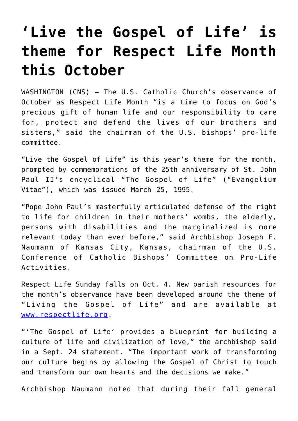## **['Live the Gospel of Life' is](https://www.osvnews.com/2020/09/25/live-the-gospel-of-life-is-theme-for-respect-life-month-this-october/) [theme for Respect Life Month](https://www.osvnews.com/2020/09/25/live-the-gospel-of-life-is-theme-for-respect-life-month-this-october/) [this October](https://www.osvnews.com/2020/09/25/live-the-gospel-of-life-is-theme-for-respect-life-month-this-october/)**

WASHINGTON (CNS) — The U.S. Catholic Church's observance of October as Respect Life Month "is a time to focus on God's precious gift of human life and our responsibility to care for, protect and defend the lives of our brothers and sisters," said the chairman of the U.S. bishops' pro-life committee.

"Live the Gospel of Life" is this year's theme for the month, prompted by commemorations of the 25th anniversary of St. John Paul II's encyclical "The Gospel of Life" ("Evangelium Vitae"), which was issued March 25, 1995.

"Pope John Paul's masterfully articulated defense of the right to life for children in their mothers' wombs, the elderly, persons with disabilities and the marginalized is more relevant today than ever before," said Archbishop Joseph F. Naumann of Kansas City, Kansas, chairman of the U.S. Conference of Catholic Bishops' Committee on Pro-Life Activities.

Respect Life Sunday falls on Oct. 4. New parish resources for the month's observance have been developed around the theme of "Living the Gospel of Life" and are available at [www.respectlife.org.](http://www.respectlife.org)

"'The Gospel of Life' provides a blueprint for building a culture of life and civilization of love," the archbishop said in a Sept. 24 statement. "The important work of transforming our culture begins by allowing the Gospel of Christ to touch and transform our own hearts and the decisions we make."

Archbishop Naumann noted that during their fall general